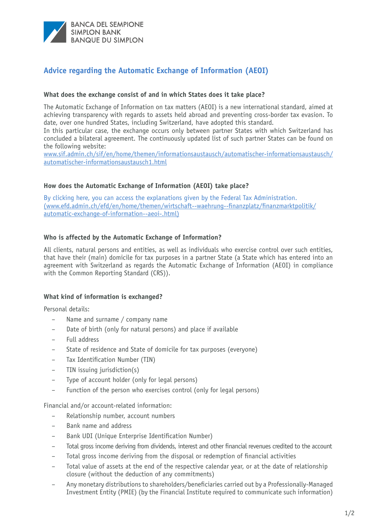

# **Advice regarding the Automatic Exchange of Information (AEOI)**

## **What does the exchange consist of and in which States does it take place?**

The Automatic Exchange of Information on tax matters (AEOI) is a new international standard, aimed at achieving transparency with regards to assets held abroad and preventing cross-border tax evasion. To date, over one hundred States, including Switzerland, have adopted this standard.

In this particular case, the exchange occurs only between partner States with which Switzerland has concluded a bilateral agreement. The continuously updated list of such partner States can be found on the following website:

[www.sif.admin.ch/sif/en/home/themen/informationsaustausch/automatischer-informationsaustausch/](https://www.sif.admin.ch/sif/en/home/themen/informationsaustausch/automatischer-informationsaustausch/automatischer-informationsaustausch1.html) automatischer-informationsaustausch1.html

## **How does the Automatic Exchange of Information (AEOI) take place?**

[By clicking here, you can access the explanations given by the Federal Tax Administration.](www.efd.admin.ch/efd/it/home/themen/wirtschaft--waehrung--finanzplatz/finanzmarktpolitik/scambio-automatico-di-informazioni.html) [\(www.efd.admin.ch/efd/en/home/themen/wirtschaft--waehrung--finanzplatz/finanzmarktpolitik/](https://www.efd.admin.ch/efd/en/home/themen/wirtschaft--waehrung--finanzplatz/finanzmarktpolitik/automatic-exchange-of-information--aeoi-.html) automatic-exchange-of-information--aeoi-.html)

## **Who is affected by the Automatic Exchange of Information?**

All clients, natural persons and entities, as well as individuals who exercise control over such entities, that have their (main) domicile for tax purposes in a partner State (a State which has entered into an agreement with Switzerland as regards the Automatic Exchange of Information (AEOI) in compliance with the Common Reporting Standard (CRS)).

#### **What kind of information is exchanged?**

Personal details:

- Name and surname / company name
- Date of birth (only for natural persons) and place if available
- Full address
- State of residence and State of domicile for tax purposes (everyone)
- Tax Identification Number (TIN)
- TIN issuing jurisdiction(s)
- Type of account holder (only for legal persons)
- Function of the person who exercises control (only for legal persons)

Financial and/or account-related information:

- Relationship number, account numbers
- Bank name and address
- Bank UDI (Unique Enterprise Identification Number)
- Total gross income deriving from dividends, interest and other financial revenues credited to the account
- Total gross income deriving from the disposal or redemption of financial activities
- Total value of assets at the end of the respective calendar year, or at the date of relationship closure (without the deduction of any commitments)
- Any monetary distributions to shareholders/beneficiaries carried out by a Professionally-Managed Investment Entity (PMIE) (by the Financial Institute required to communicate such information)